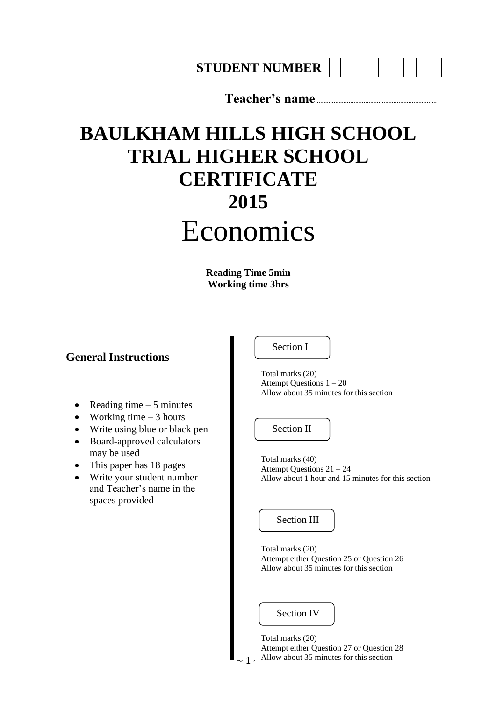**STUDENT NUMBER**

**Teacher's name**.........................................................................

# **BAULKHAM HILLS HIGH SCHOOL TRIAL HIGHER SCHOOL CERTIFICATE 2015** Economics

**Reading Time 5min Working time 3hrs**

#### **General Instructions**

- Reading time  $-5$  minutes
- Working time  $-3$  hours
- Write using blue or black pen
- Board-approved calculators may be used
- This paper has 18 pages
- Write your student number and Teacher's name in the spaces provided

Section I

Total marks (20) Attempt Questions 1 – 20 Allow about 35 minutes for this section

Section II

Total marks (40) Attempt Questions 21 – 24 Allow about 1 hour and 15 minutes for this section

Section III

Total marks (20) Attempt either Question 25 or Question 26 Allow about 35 minutes for this section

Section IV

 $\sim 1$ . Allow about 35 minutes for this section Total marks (20) Attempt either Question 27 or Question 28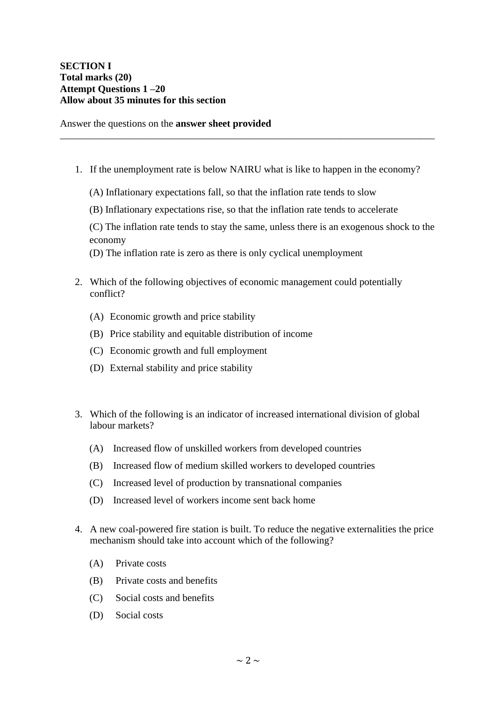#### **SECTION I Total marks (20) Attempt Questions 1 –20 Allow about 35 minutes for this section**

Answer the questions on the **answer sheet provided**

1. If the unemployment rate is below NAIRU what is like to happen in the economy?

\_\_\_\_\_\_\_\_\_\_\_\_\_\_\_\_\_\_\_\_\_\_\_\_\_\_\_\_\_\_\_\_\_\_\_\_\_\_\_\_\_\_\_\_\_\_\_\_\_\_\_\_\_\_\_\_\_\_\_\_\_\_\_\_\_\_\_\_\_\_\_\_\_\_\_

- (A) Inflationary expectations fall, so that the inflation rate tends to slow
- (B) Inflationary expectations rise, so that the inflation rate tends to accelerate
- (C) The inflation rate tends to stay the same, unless there is an exogenous shock to the economy
- (D) The inflation rate is zero as there is only cyclical unemployment
- 2. Which of the following objectives of economic management could potentially conflict?
	- (A) Economic growth and price stability
	- (B) Price stability and equitable distribution of income
	- (C) Economic growth and full employment
	- (D) External stability and price stability
- 3. Which of the following is an indicator of increased international division of global labour markets?
	- (A) Increased flow of unskilled workers from developed countries
	- (B) Increased flow of medium skilled workers to developed countries
	- (C) Increased level of production by transnational companies
	- (D) Increased level of workers income sent back home
- 4. A new coal-powered fire station is built. To reduce the negative externalities the price mechanism should take into account which of the following?
	- (A) Private costs
	- (B) Private costs and benefits
	- (C) Social costs and benefits
	- (D) Social costs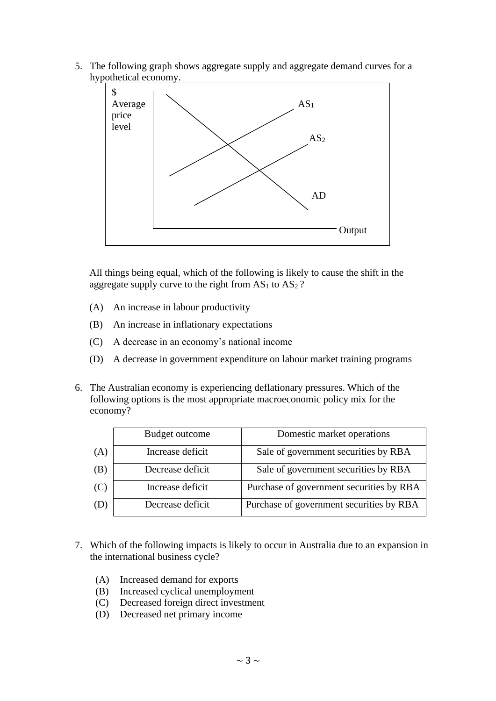5. The following graph shows aggregate supply and aggregate demand curves for a hypothetical economy.



All things being equal, which of the following is likely to cause the shift in the aggregate supply curve to the right from  $AS_1$  to  $AS_2$ ?

- (A) An increase in labour productivity
- (B) An increase in inflationary expectations
- (C) A decrease in an economy's national income
- (D) A decrease in government expenditure on labour market training programs
- 6. The Australian economy is experiencing deflationary pressures. Which of the following options is the most appropriate macroeconomic policy mix for the economy?

|     | Budget outcome   | Domestic market operations               |
|-----|------------------|------------------------------------------|
| (A) | Increase deficit | Sale of government securities by RBA     |
| (B) | Decrease deficit | Sale of government securities by RBA     |
| (C) | Increase deficit | Purchase of government securities by RBA |
| (D) | Decrease deficit | Purchase of government securities by RBA |

- 7. Which of the following impacts is likely to occur in Australia due to an expansion in the international business cycle?
	- (A) Increased demand for exports
	- (B) Increased cyclical unemployment
	- (C) Decreased foreign direct investment
	- (D) Decreased net primary income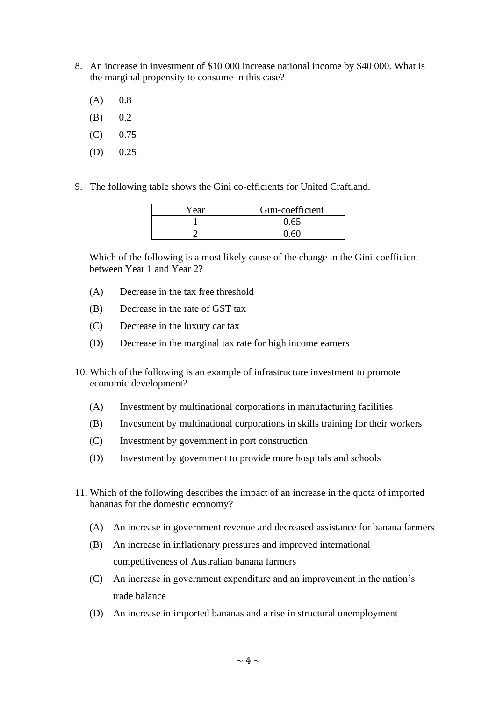- 8. An increase in investment of \$10 000 increase national income by \$40 000. What is the marginal propensity to consume in this case?
	- $(A)$  0.8
	- $(B)$  0.2
	- $(C)$  0.75
	- $(D)$  0.25
- 9. The following table shows the Gini co-efficients for United Craftland.

| Year | Gini-coefficient |
|------|------------------|
|      | 0.65             |
|      |                  |

Which of the following is a most likely cause of the change in the Gini-coefficient between Year 1 and Year 2?

- (A) Decrease in the tax free threshold
- (B) Decrease in the rate of GST tax
- (C) Decrease in the luxury car tax
- (D) Decrease in the marginal tax rate for high income earners
- 10. Which of the following is an example of infrastructure investment to promote economic development?
	- (A) Investment by multinational corporations in manufacturing facilities
	- (B) Investment by multinational corporations in skills training for their workers
	- (C) Investment by government in port construction
	- (D) Investment by government to provide more hospitals and schools
- 11. Which of the following describes the impact of an increase in the quota of imported bananas for the domestic economy?
	- (A) An increase in government revenue and decreased assistance for banana farmers
	- (B) An increase in inflationary pressures and improved international competitiveness of Australian banana farmers
	- (C) An increase in government expenditure and an improvement in the nation's trade balance
	- (D) An increase in imported bananas and a rise in structural unemployment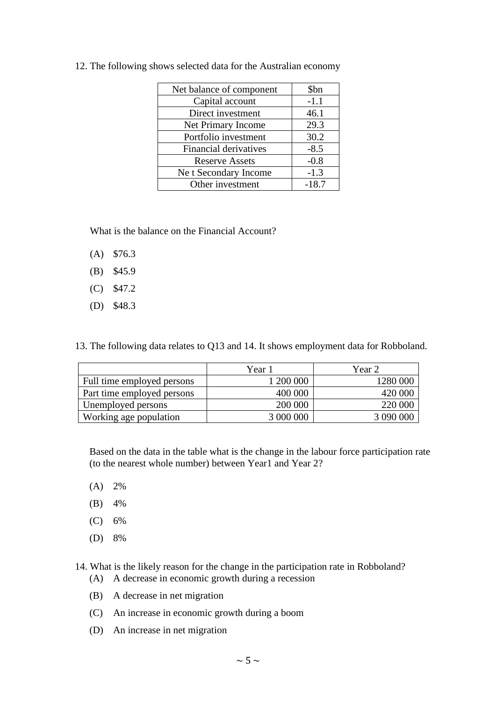| Net balance of component     | \$bn    |
|------------------------------|---------|
| Capital account              | $-1.1$  |
| Direct investment            | 46.1    |
| Net Primary Income           | 29.3    |
| Portfolio investment         | 30.2    |
| <b>Financial derivatives</b> | $-8.5$  |
| <b>Reserve Assets</b>        | $-0.8$  |
| Ne t Secondary Income        | $-1.3$  |
| Other investment             | $-18.7$ |

12. The following shows selected data for the Australian economy

What is the balance on the Financial Account?

- (A) \$76.3
- (B) \$45.9
- (C) \$47.2
- (D) \$48.3

13. The following data relates to Q13 and 14. It shows employment data for Robboland.

|                            | Year 1    | Year 2    |
|----------------------------|-----------|-----------|
| Full time employed persons | 1 200 000 | 1280 000  |
| Part time employed persons | 400 000   | 420 000   |
| Unemployed persons         | 200 000   | 220 000   |
| Working age population     | 3 000 000 | 3 090 000 |

Based on the data in the table what is the change in the labour force participation rate (to the nearest whole number) between Year1 and Year 2?

- (A) 2%
- (B) 4%
- (C) 6%
- (D) 8%

14. What is the likely reason for the change in the participation rate in Robboland?

- (A) A decrease in economic growth during a recession
- (B) A decrease in net migration
- (C) An increase in economic growth during a boom
- (D) An increase in net migration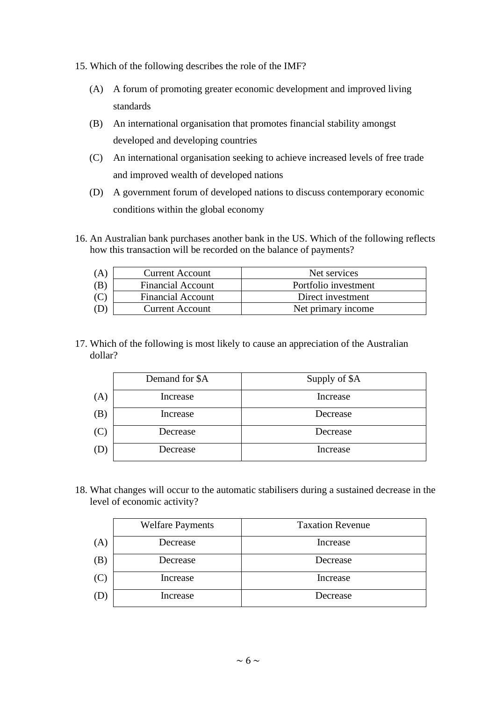- 15. Which of the following describes the role of the IMF?
	- (A) A forum of promoting greater economic development and improved living standards
	- (B) An international organisation that promotes financial stability amongst developed and developing countries
	- (C) An international organisation seeking to achieve increased levels of free trade and improved wealth of developed nations
	- (D) A government forum of developed nations to discuss contemporary economic conditions within the global economy
- 16. An Australian bank purchases another bank in the US. Which of the following reflects how this transaction will be recorded on the balance of payments?

| (A, | <b>Current Account</b>   | Net services         |
|-----|--------------------------|----------------------|
| (B  | <b>Financial Account</b> | Portfolio investment |
| (C) | <b>Financial Account</b> | Direct investment    |
|     | <b>Current Account</b>   | Net primary income   |

17. Which of the following is most likely to cause an appreciation of the Australian dollar?

|     | Demand for \$A | Supply of \$A |
|-----|----------------|---------------|
| (A) | Increase       | Increase      |
| (B) | Increase       | Decrease      |
| (C) | Decrease       | Decrease      |
| (D) | Decrease       | Increase      |

18. What changes will occur to the automatic stabilisers during a sustained decrease in the level of economic activity?

|     | <b>Welfare Payments</b> | <b>Taxation Revenue</b> |
|-----|-------------------------|-------------------------|
| (A) | Decrease                | Increase                |
| (B) | Decrease                | Decrease                |
| (C) | Increase                | Increase                |
| (D  | Increase                | Decrease                |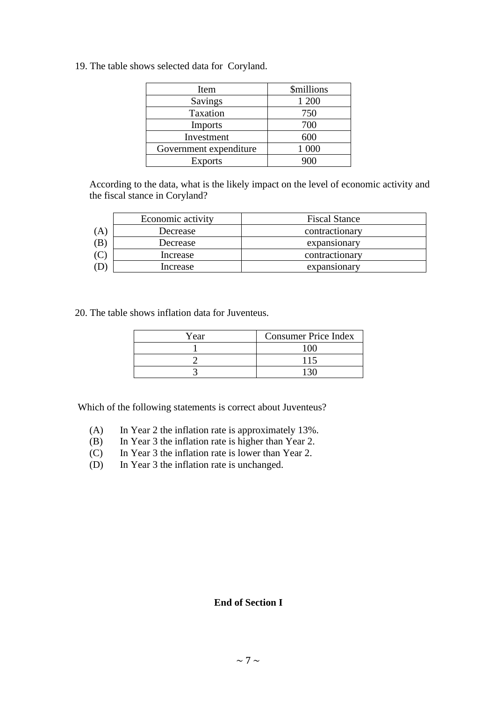19. The table shows selected data for Coryland.

| Item                   | <i><b>\$millions</b></i> |
|------------------------|--------------------------|
| Savings                | 1 200                    |
| Taxation               | 750                      |
| <b>Imports</b>         | 700                      |
| Investment             | 600                      |
| Government expenditure | 1 0 0 0                  |
| <b>Exports</b>         |                          |

According to the data, what is the likely impact on the level of economic activity and the fiscal stance in Coryland?

|    | Economic activity | <b>Fiscal Stance</b> |
|----|-------------------|----------------------|
| (A | Decrease          | contractionary       |
| ΈB | Decrease          | expansionary         |
|    | Increase          | contractionary       |
|    | Increase          | expansionary         |

20. The table shows inflation data for Juventeus.

| Year | <b>Consumer Price Index</b> |
|------|-----------------------------|
|      | 100                         |
|      | 115                         |
|      | 130                         |

Which of the following statements is correct about Juventeus?

- (A) In Year 2 the inflation rate is approximately 13%.
- (B) In Year 3 the inflation rate is higher than Year 2.
- (C) In Year 3 the inflation rate is lower than Year 2.
- (D) In Year 3 the inflation rate is unchanged.

#### **End of Section I**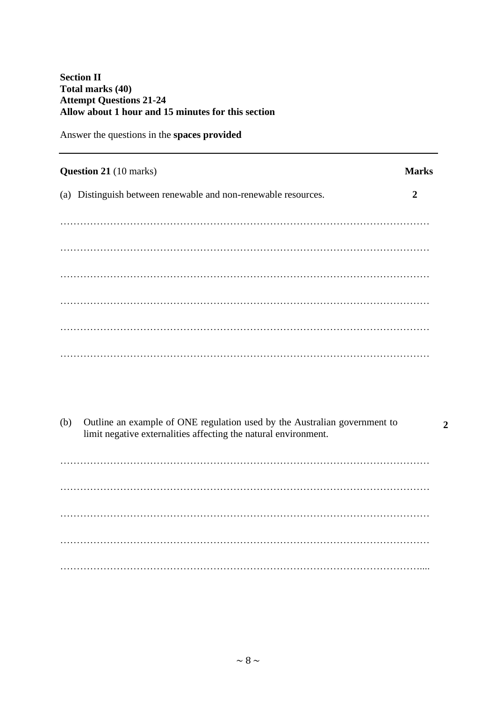#### **Section II Total marks (40) Attempt Questions 21-24 Allow about 1 hour and 15 minutes for this section**

Answer the questions in the **spaces provided**

| <b>Question 21</b> (10 marks)                                  | <b>Marks</b> |
|----------------------------------------------------------------|--------------|
| (a) Distinguish between renewable and non-renewable resources. | 2            |
|                                                                |              |
|                                                                |              |
|                                                                |              |
|                                                                |              |
|                                                                |              |
|                                                                |              |
|                                                                |              |

(b) Outline an example of ONE regulation used by the Australian government to limit negative externalities affecting the natural environment.

**2**

………………………………………………………………………………………………… ………………………………………………………………………………………………… ………………………………………………………………………………………………… ………………………………………………………………………………………………… ………………………………………………………………………………………………....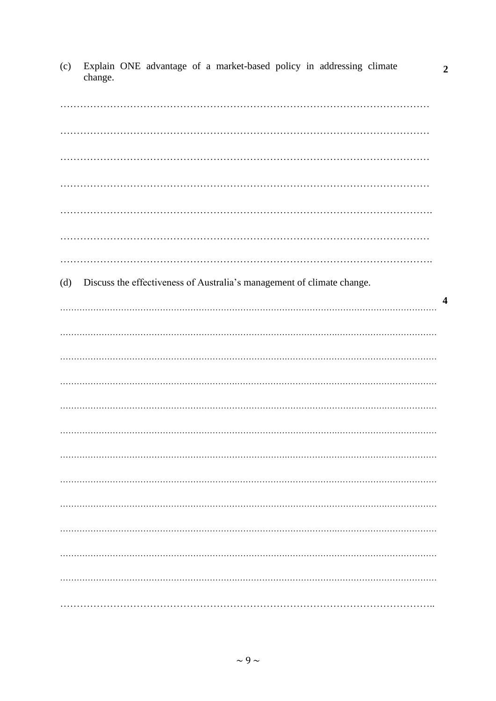| (c) | Explain ONE advantage of a market-based policy in addressing climate<br>change. | $\boldsymbol{2}$ |
|-----|---------------------------------------------------------------------------------|------------------|
|     |                                                                                 |                  |
|     |                                                                                 |                  |
|     |                                                                                 |                  |
|     |                                                                                 |                  |
|     |                                                                                 |                  |
|     |                                                                                 |                  |
| (d) | Discuss the effectiveness of Australia's management of climate change.          | $\boldsymbol{4}$ |
|     |                                                                                 |                  |
|     |                                                                                 |                  |
|     |                                                                                 |                  |
|     |                                                                                 |                  |
|     |                                                                                 |                  |
|     |                                                                                 |                  |
|     |                                                                                 |                  |
|     |                                                                                 |                  |
|     |                                                                                 |                  |
|     |                                                                                 |                  |
|     |                                                                                 |                  |
|     |                                                                                 |                  |

(c) Explain ONE advantage of a market-based policy in addressing climate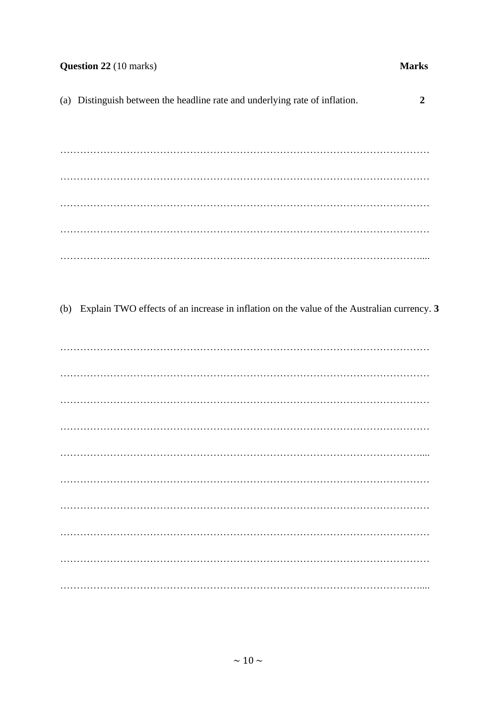#### Question 22 (10 marks)

#### **Marks**

(a) Distinguish between the headline rate and underlying rate of inflation.  $\overline{2}$ 

(b) Explain TWO effects of an increase in inflation on the value of the Australian currency. 3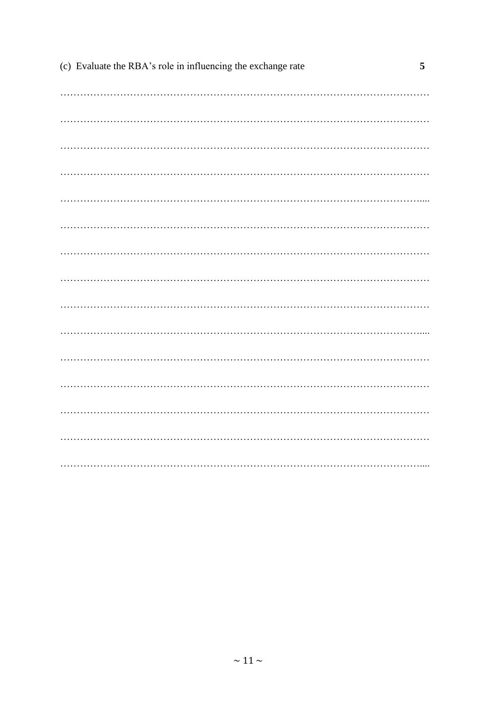| (c) Evaluate the RBA's role in influencing the exchange rate | 5 |
|--------------------------------------------------------------|---|
|                                                              |   |
|                                                              |   |
|                                                              |   |
|                                                              |   |
|                                                              |   |
|                                                              |   |
|                                                              |   |
|                                                              |   |
|                                                              |   |
|                                                              |   |
|                                                              |   |
|                                                              |   |
|                                                              |   |
|                                                              |   |
|                                                              |   |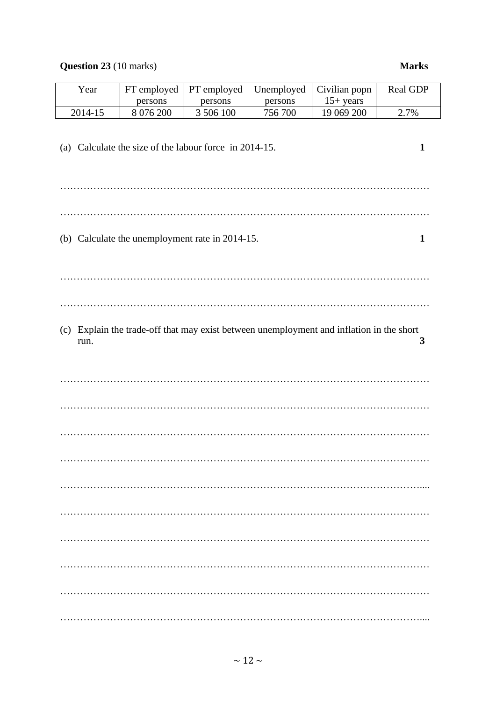## **Question 23** (10 marks) **Marks**

| Year                                                 | FT employed                                                            | PT employed | Unemployed | Civilian popn                                                                            | Real GDP |
|------------------------------------------------------|------------------------------------------------------------------------|-------------|------------|------------------------------------------------------------------------------------------|----------|
|                                                      | persons                                                                | persons     | persons    | $15+ years$                                                                              |          |
| 2014-15                                              | 8 0 7 6 200                                                            | 3 506 100   | 756 700    | 19 069 200                                                                               | 2.7%     |
|                                                      | (a) Calculate the size of the labour force in 2014-15.<br>$\mathbf{1}$ |             |            |                                                                                          |          |
| (b) Calculate the unemployment rate in 2014-15.<br>1 |                                                                        |             |            |                                                                                          |          |
|                                                      |                                                                        |             |            |                                                                                          |          |
|                                                      |                                                                        |             |            |                                                                                          |          |
| run.                                                 |                                                                        |             |            | (c) Explain the trade-off that may exist between unemployment and inflation in the short | 3        |
|                                                      |                                                                        |             |            |                                                                                          |          |
|                                                      |                                                                        |             |            |                                                                                          |          |
|                                                      |                                                                        |             |            |                                                                                          |          |
|                                                      |                                                                        |             |            |                                                                                          |          |
|                                                      |                                                                        |             |            |                                                                                          |          |
|                                                      |                                                                        |             |            |                                                                                          |          |
|                                                      |                                                                        |             |            |                                                                                          |          |
|                                                      |                                                                        |             |            |                                                                                          |          |
|                                                      |                                                                        |             |            |                                                                                          |          |
|                                                      |                                                                        |             |            |                                                                                          |          |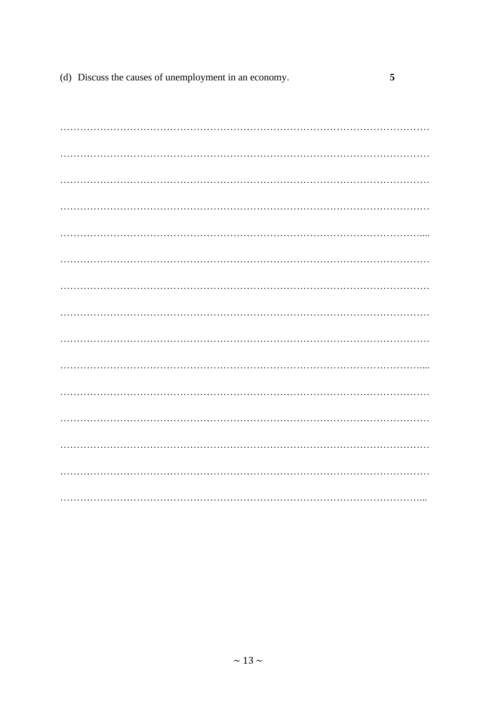| (d) Discuss the causes of unemployment in an economy. |  |
|-------------------------------------------------------|--|
|                                                       |  |
|                                                       |  |
|                                                       |  |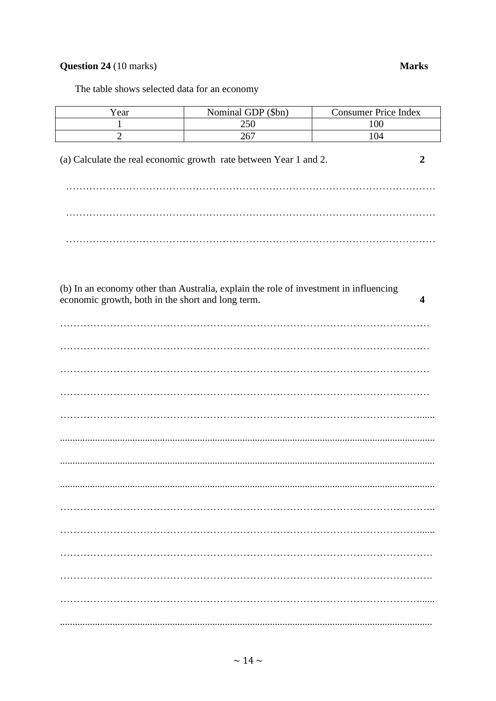# **Question 24** (10 marks)

#### **Marks**

The table shows selected data for an economy

| Year                                                                                                                                            | Nominal GDP (\$bn) | Consumer Price Index |  |  |
|-------------------------------------------------------------------------------------------------------------------------------------------------|--------------------|----------------------|--|--|
| $\mathbf{1}$                                                                                                                                    | 250                | 100                  |  |  |
| $\overline{c}$                                                                                                                                  | 267                | 104                  |  |  |
| (a) Calculate the real economic growth rate between Year 1 and 2.<br>$\overline{2}$                                                             |                    |                      |  |  |
|                                                                                                                                                 |                    |                      |  |  |
|                                                                                                                                                 |                    |                      |  |  |
|                                                                                                                                                 |                    |                      |  |  |
| (b) In an economy other than Australia, explain the role of investment in influencing<br>economic growth, both in the short and long term.<br>4 |                    |                      |  |  |
|                                                                                                                                                 |                    |                      |  |  |
|                                                                                                                                                 |                    |                      |  |  |
|                                                                                                                                                 |                    |                      |  |  |
|                                                                                                                                                 |                    |                      |  |  |
|                                                                                                                                                 |                    |                      |  |  |
|                                                                                                                                                 |                    |                      |  |  |
|                                                                                                                                                 |                    |                      |  |  |
|                                                                                                                                                 |                    |                      |  |  |
|                                                                                                                                                 |                    |                      |  |  |
|                                                                                                                                                 |                    |                      |  |  |
|                                                                                                                                                 |                    |                      |  |  |
|                                                                                                                                                 |                    |                      |  |  |
|                                                                                                                                                 |                    |                      |  |  |
|                                                                                                                                                 |                    |                      |  |  |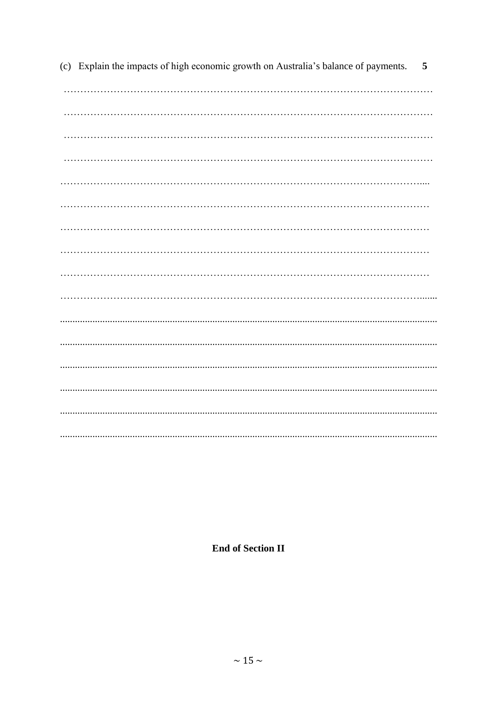(c) Explain the impacts of high economic growth on Australia's balance of payments. 5 

**End of Section II**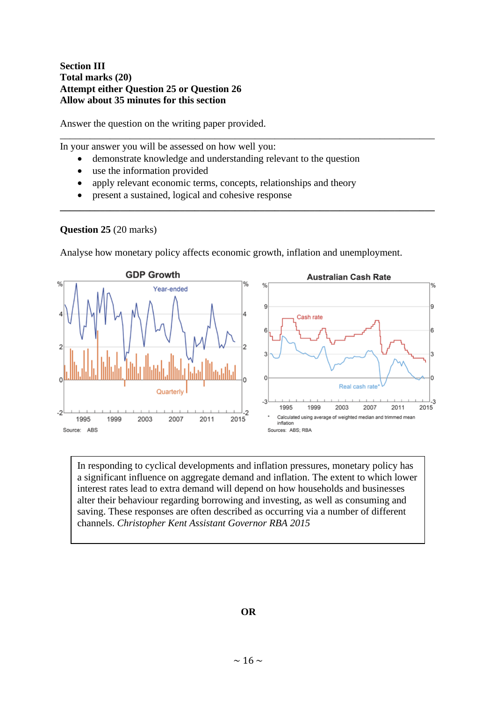#### **Section III Total marks (20) Attempt either Question 25 or Question 26 Allow about 35 minutes for this section**

Answer the question on the writing paper provided.

In your answer you will be assessed on how well you:

• demonstrate knowledge and understanding relevant to the question

\_\_\_\_\_\_\_\_\_\_\_\_\_\_\_\_\_\_\_\_\_\_\_\_\_\_\_\_\_\_\_\_\_\_\_\_\_\_\_\_\_\_\_\_\_\_\_\_\_\_\_\_\_\_\_\_\_\_\_\_\_\_\_\_\_\_\_\_\_\_\_\_\_\_\_

**\_\_\_\_\_\_\_\_\_\_\_\_\_\_\_\_\_\_\_\_\_\_\_\_\_\_\_\_\_\_\_\_\_\_\_\_\_\_\_\_\_\_\_\_\_\_\_\_\_\_\_\_\_\_\_\_\_\_\_\_\_\_\_\_\_\_\_\_\_\_\_\_\_\_\_**

- use the information provided
- apply relevant economic terms, concepts, relationships and theory
- present a sustained, logical and cohesive response

#### **Question 25** (20 marks)

Analyse how monetary policy affects economic growth, inflation and unemployment.



a significant influence on aggregate demand and inflation. The extent to which lower In responding to cyclical developments and inflation pressures, monetary policy has interest rates lead to extra demand will depend on how households and businesses alter their behaviour regarding borrowing and investing, as well as consuming and saving. These responses are often described as occurring via a number of different channels. *Christopher Kent Assistant Governor RBA 2015*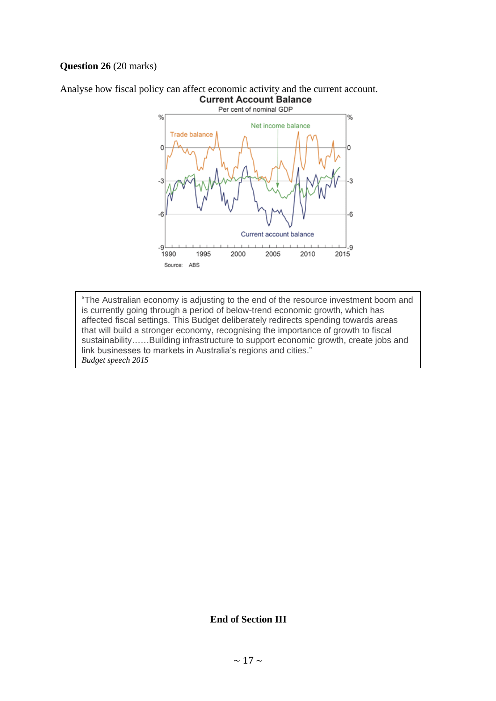#### **Question 26** (20 marks)





is currently going through a period of below-trend economic growth, which has "The Australian economy is adjusting to the end of the resource investment boom and affected fiscal settings. This Budget deliberately redirects spending towards areas that will build a stronger economy, recognising the importance of growth to fiscal sustainability……Building infrastructure to support economic growth, create jobs and link businesses to markets in Australia's regions and cities." *Budget speech 2015*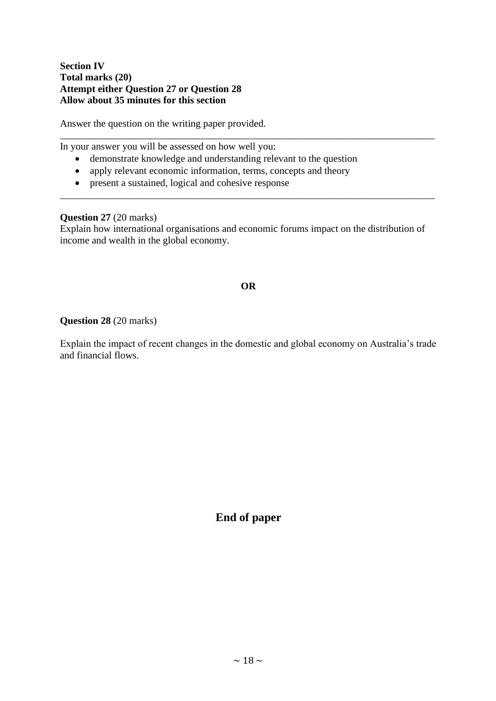#### **Section IV Total marks (20) Attempt either Question 27 or Question 28 Allow about 35 minutes for this section**

Answer the question on the writing paper provided.

In your answer you will be assessed on how well you:

- demonstrate knowledge and understanding relevant to the question
- apply relevant economic information, terms, concepts and theory
- present a sustained, logical and cohesive response

#### **Question 27** (20 marks)

Explain how international organisations and economic forums impact on the distribution of income and wealth in the global economy.

\_\_\_\_\_\_\_\_\_\_\_\_\_\_\_\_\_\_\_\_\_\_\_\_\_\_\_\_\_\_\_\_\_\_\_\_\_\_\_\_\_\_\_\_\_\_\_\_\_\_\_\_\_\_\_\_\_\_\_\_\_\_\_\_\_\_\_\_\_\_\_\_\_\_\_

\_\_\_\_\_\_\_\_\_\_\_\_\_\_\_\_\_\_\_\_\_\_\_\_\_\_\_\_\_\_\_\_\_\_\_\_\_\_\_\_\_\_\_\_\_\_\_\_\_\_\_\_\_\_\_\_\_\_\_\_\_\_\_\_\_\_\_\_\_\_\_\_\_\_\_

#### **OR**

#### **Question 28** (20 marks)

Explain the impact of recent changes in the domestic and global economy on Australia's trade and financial flows.

**End of paper**